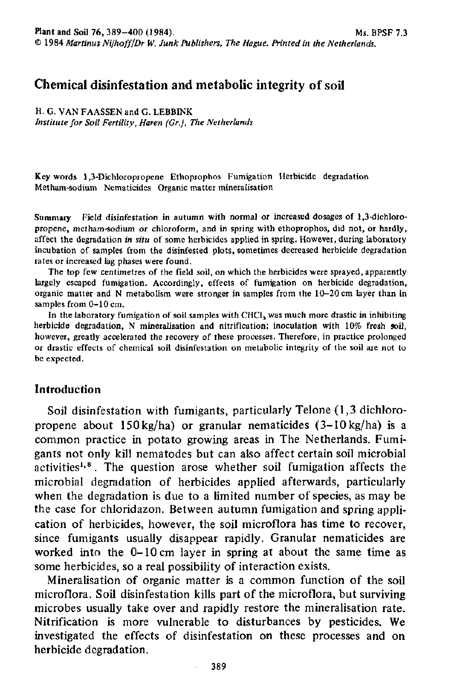# **Chemical disinfestation and metabolic integrity of soil**

H. G. VAN FAASSEN and G. LEBBINK

*Institute for Soil Fertility, Haren (Gr.), The Netherlands* 

Key words 1,3-Dichloropropene Ethoprophos Fumigation Herbicide degradation Metham-sodium Nematicides Organic matter mineralisation

Summary Field disinfestation in autumn with normal or increased dosages of 1,3-dichloropropene, metham-sodium or chloroform, and in spring with ethoprophos, did not, or hardly, affect the degradation *in situ* of some herbicides applied in spring. However, during laboratory incubation of samples from the disinfested plots, sometimes decreased herbicide degradation rates or increased lag phases were found.

The top few centimetres of the field soil, on which the herbicides were sprayed, apparently largely escaped fumigation. Accordingly, effects of fumigation on herbicide degradation, organic matter and N metabolism were stronger in samples from the 10-20 cm layer than in samples from 0-10 cm.

In the laboratory fumigation of soil samples with CHCl<sub>3</sub> was much more drastic in inhibiting herbicide degradation, N mineralisation and nitrification; inoculation with 10% fresh soil, however, greatly accelerated the recovery of these processes. Therefore, in practice prolonged or drastic effects of chemical soil disinfestation on metabolic integrity of the soil are not to be expected.

# **Introduction**

Soil disinfestation with fumigants, particularly Telone (1,3 dichloropropene about 150kg/ha) or granular nematicides (3-10kg/ha) is a common practice in potato growing areas in The Netherlands. Fumigants not only kill nematodes but can also affect certain soil microbial activities<sup>1,8</sup>. The question arose whether soil fumigation affects microbial degradation of herbicides applied afterwards, particularly when the degradation is due to a limited number of species, as may be the case for chloridazon. Between autumn fumigation and spring application of herbicides, however, the soil microflora has time to recover, since fumigants usually disappear rapidly. Granular nematicides are worked into the 0-10 cm layer in spring at about the same time as some herbicides, so a real possibility of interaction exists.

Mineralisation of organic matter is a common function of the soil microflora. Soil disinfestation kills part of the microflora, but surviving microbes usually take over and rapidly restore the mineralisation rate. Nitrification is more vulnerable to disturbances by pesticides. We investigated the effects of disinfestation on these processes and on herbicide degradation.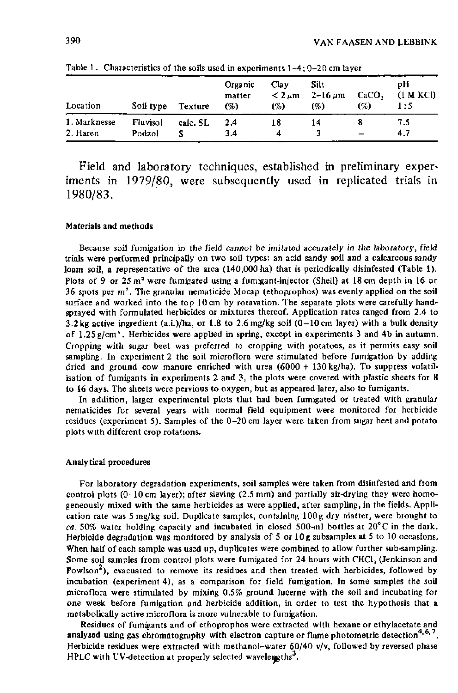| Location                 | Soil type          | Texture  | Organic<br>matter<br>$(\%)$ | Clay<br>$< 2 \mu m$<br>(%) | Silt<br>2–16 $\mu$ m<br>(%) | CaCO,<br>(%) | pН<br>(1 M KCl)<br>1:5 |
|--------------------------|--------------------|----------|-----------------------------|----------------------------|-----------------------------|--------------|------------------------|
| 1. Marknesse<br>2. Haren | Fluvisol<br>Podzol | calc. SL | 2.4<br>3.4                  | 18<br>4                    | 14                          |              | 7.5<br>4.7             |

Table 1. Characteristics of the soils used in experiments 1-4; 0-20 cm layer

Field and laboratory techniques, established in preliminary experiments in 1979/80, were subsequently used in replicated trials in 1980/83.

#### Materials and methods

Because soil fumigation in the field *cannot be imitated accurately in the* laboratory, field trials were performed principally on two soil types: an acid sandy soil and a calcareous sandy loam soil, a representative of the area (140,000 ha) that is periodically disinfested (Table 1). Plots of 9 or  $25 \text{ m}^2$  were fumigated using a fumigant-injector (Shell) at 18 cm dept 36 spots per  $m^2$ . The granular nematicide Mocap (ethoprophos) was evenly applied on surface and worked into the top 10 cm by rotavation. The separate plots were carefully handsprayed with formulated herbicides or mixtures thereof. Application rates ranged from 2.4 to 3.2 kg active ingredient (a.i.)/ha, or 1.8 to 2.6 mg/kg soil  $(0-10 \text{ cm}$  layer) with a bulk density of  $1.25$  g/cm<sup>3</sup>. Herbicides were applied in spring, except in experiments 3 and 4b in Cropping with sugar beet was preferred to cropping with potatoes, as it permits easy soil sampling. In experiment 2 the soil microflora were stimulated before fumigation by adding dried and ground cow manure enriched with urea (6000 + 130 kg/ha). To suppress volatilisation of fumigants in experiments 2 and 3, the plots were covered with plastic sheets for 8 to 16 days. The sheets were pervious to oxygen, but as appeared later, also to fumigants.

In addition, larger experimental plots that had been fumigated or treated with granular nematicides for several years with normal field equipment were monitored for herbicide residues (experiment 5). Samples of the 0-20 cm layer were taken from sugar beet and potato plots with different crop rotations.

#### Analytical procedures

For laboratory degradation experiments, soil samples were taken from disinfested and from control plots (0-10 cm layer); after sieving (2.5 mm) and partially air-drying they were homogeneously mixed with the same herbicides as were applied, after sampling, in the fields. Application rate was 5 mg/kg soil. Duplicate samples, containing  $100 g$  dry matter, were brought to *ca.* 50% water holding capacity and incubated in closed 500-ml bottles at 20°C in the dark. Herbicide degradation was monitored by analysis of 5 or 10 g subsamples at 5 to 10 occasions. When half of each sample was used up, duplicates were combined to allow further sub-sampling. Some soil samples from control plots were fumigated for  $24$  hours with CHCl<sub>3</sub> (Jenkinson and Powlson<sup>2</sup>), evacuated to remove its residues and then treated with herbicides, followed by incubation (experiment 4), as a comparison for field fumigation. In some samples the soil microflora were stimulated by mixing 0.5% ground lucerne with the soil and incubating for one week before fumigation and herbicide addition, in order to test the hypothesis that a metabolically active microflora is more vulnerable to fumigation.

Residues of fumigants and of ethoprophos were extracted with hexane or ethylacetate and analysed using gas chromatography with electron capture or flame-photometric detection<sup>4,6,7</sup>. Herbicide residues were extracted with methanol-water  $60/40$  v/v, followed by reversed phase HPLC with UV-detection at properly selected wavelengths<sup>3</sup>.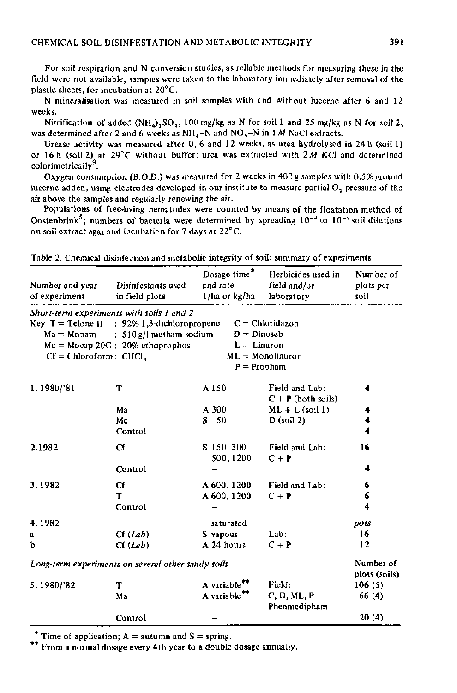For soil respiration and N conversion studies, as reliable methods for measuring these in the field were not available, samples were taken to the laboratory immediately after removal of the plastic sheets, for incubation at 20°C.

N mineralisation was measured in soil samples with and without lucerne after 6 and 12 weeks.

Nitrification of added  $(NH_4)$ ,  $SO_4$ , 100 mg/kg as N for soil 1 and 25 mg/kg as N for soil 2, was determined after 2 and 6 weeks as NH<sub>4</sub>-N and NO<sub>3</sub>-N in 1 *M* NaCl extracts.

Urease activity was measured after 0, 6 and 12 weeks, as urea hydrolysed in 24 h (soil 1) or 16 h (soil 2) at 29°C without buffer; urea was extracted with *2 M* KCl and determined colorimetrically<sup>7</sup>.

Oxygen consumption (B.O.D.) was measured for 2 weeks in 400 g samples with 0.5% ground lucerne added, using electrodes developed in our institute to measure partial O, pressure of the air above the samples and regularly renewing the air.

Populations of free-living nematodes were counted by means of the floatation method of stenbrink<sup>5</sup>; numbers of bacteria were determined by spreading  $10^{-4}$  to  $10^{-7}$  soil di on soil extract agar and incubation for  $7$  days at  $22^{\circ}$ C. on soil extract agar and incubation for 7 days at 22°C.

| Disinfestants used<br>in field plots                            | Dosage time*<br>and rate<br>$1/ha$ or kg/ha | Herbicides used in<br>field and/or<br>laboratory                                                                                                                                         | Number of<br>plots per<br>soil                                                              |
|-----------------------------------------------------------------|---------------------------------------------|------------------------------------------------------------------------------------------------------------------------------------------------------------------------------------------|---------------------------------------------------------------------------------------------|
| $Mc = Mocap 20G$ : 20% ethoprophos<br>$Cf = Chloroform$ : CHCl, |                                             |                                                                                                                                                                                          |                                                                                             |
| т<br>Ma<br>Mc<br>Control                                        | A 150<br>A 300<br>S <sub>50</sub>           | Field and Lab:<br>$C + P$ (both soils)<br>$ML + L$ (soil 1)<br>$D$ (soil 2)                                                                                                              | 4<br>4<br>4<br>4                                                                            |
| Cf<br>Control                                                   | $S$ 150, 300<br>500, 1200                   | Field and Lab:<br>$C + P$                                                                                                                                                                | 16<br>4                                                                                     |
| Cf<br>T<br>Control                                              | A 600, 1200<br>A 600, 1200                  | Field and Lab:<br>$C + P$                                                                                                                                                                | 6<br>6<br>4                                                                                 |
| Cf(Lab)<br>Cf(Lab)                                              | saturated<br>S vapour<br>A 24 hours         | Lab:<br>$C + P$                                                                                                                                                                          | pots<br>16<br>12                                                                            |
|                                                                 |                                             |                                                                                                                                                                                          | Number of                                                                                   |
| т<br>Ma                                                         | A variable<br>A variable <sup>**</sup>      | Field:<br>C, D, ML, P<br>Phenmedipham                                                                                                                                                    | plots (soils)<br>106(5)<br>66 (4)<br>20(4)                                                  |
|                                                                 | Control                                     | Short-term experiments with soils 1 and 2<br>Key $T =$ Telone II : 92% 1,3-dichloropropene<br>$Ma = Monam$ : 510 g/I metham sodium<br>Long-term experiments on several other sandy soils | $C = Chloridazon$<br>$D = D$ inoseb<br>$L =$ Linuron<br>$ML =$ Monolinuron<br>$P = Propham$ |

Table 2. Chemical disinfection and metabolic integrity of soil: summary of experiments

Time of application;  $A =$  autumn and  $S =$  spring.

\*\* From a normal dosage every 4th year to a double dosage annually.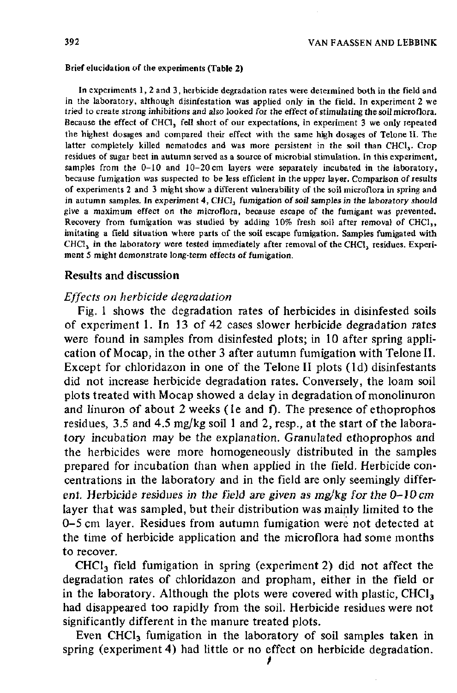#### Brief elucidation of the experiments (Table 2)

In experiments 1, 2 and 3, herbicide degradation rates were determined both in the field and in the laboratory, although disinfestation was applied only in the field. In experiment 2 we tried to create strong inhibitions and also looked for the effect of stimulating the soil microflora. Because the effect of CHCl, fell short of our expectations, in experiment 3 we only repeated the highest dosages and compared their effect with the same high dosages of Telone II. The latter completely killed nematodes and was more persistent in the soil than CHCl. Crop residues of sugar beet in autumn served as a source of microbial stimulation. In this experiment, samples from the  $0-10$  and  $10-20$  cm layers were separately incubated in the laboratory, because fumigation was suspected to be less efficient in the upper layer. Comparison of results of experiments 2 and 3 might show a different vulnerability of the soil microflora in spring and in autumn samples. In experiment 4, CHCl<sub>3</sub> fumigation of soil samples in the laboratory should give a maximum effect on the microflora, because escape of the fumigant was prevented. Recovery from fumigation was studied by adding  $10\%$  fresh soil after removal of CHCl<sub>3</sub>, imitating a field situation where parts of the soil escape fumigation. Samples fumigated with  $CHCl<sub>3</sub>$  in the laboratory were tested immediately after removal of the CHCl<sub>3</sub> residues. Experiment 5 might demonstrate long-term effects of fumigation.

### Results and discussion

### *Effects on herbicide degradation*

Fig. 1 shows the degradation rates of herbicides in disinfested soils of experiment 1. In 13 of 42 cases slower herbicide degradation rates were found in samples from disinfested plots; in 10 after spring application of Mocap, in the other 3 after autumn fumigation with Telone II. Except for chloridazon in one of the Telone II plots (Id) disinfestants did not increase herbicide degradation rates. Conversely, the loam soil plots treated with Mocap showed a delay in degradation of monolinuron and linuron of about  $2$  weeks (le and f). The presence of ethoprophos residues, 3.5 and 4.5 mg/kg soil 1 and 2, resp., at the start of the laboratory incubation may be the explanation. Granulated ethoprophos and the herbicides were more homogeneously distributed in the samples prepared for incubation than when applied in the field. Herbicide concentrations in the laboratory and in the field are only seemingly different. Herbicide residues in the field *are given as mg/kg for the 0-10 cm*  layer that was sampled, but their distribution was mainly limited to the 0-5 cm layer. Residues from autumn fumigation were not detected at the time of herbicide application and the microflora had some months to recover.

 $CHCl<sub>3</sub>$  field fumigation in spring (experiment 2) did not affect the degradation rates of chloridazon and propham, either in the field or in the laboratory. Although the plots were covered with plastic,  $CHCI<sub>3</sub>$ had disappeared too rapidly from the soil. Herbicide residues were not significantly different in the manure treated plots.

Even CHCl<sub>3</sub> fumigation in the laboratory of soil samples taken in spring (experiment 4) had little or no effect on herbicide degradation.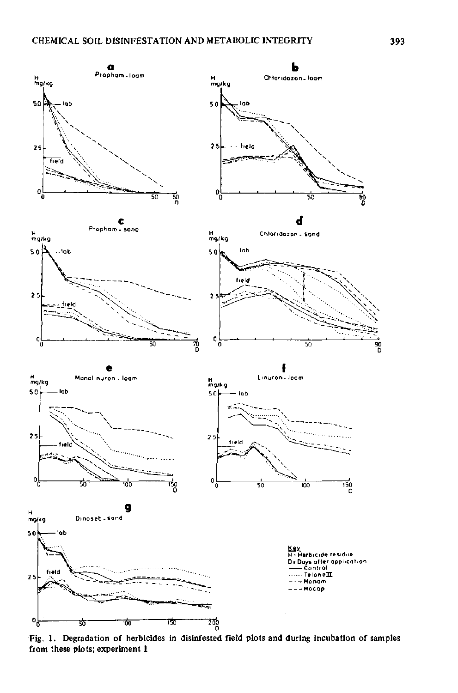

Fig. 1. Degradation of herbicides in disinfested field plots and during incubation of samples from these plots; experiment 1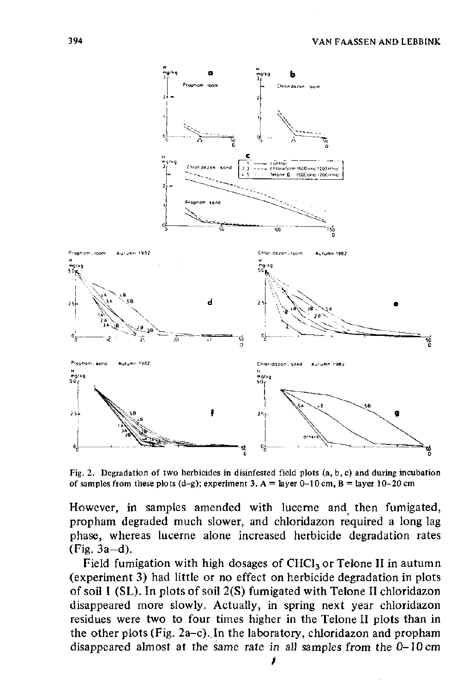

Fig. 2. Degradation of two herbicides in disinfested field plots (a, b, c) and during incubation of samples from these plots  $(d-g)$ ; experiment 3. A = layer 0-10 cm, B = layer 10-20 cm

However, in samples amended with lucerne and then fumigated, propham degraded much slower, and chloridazon required a long lag phase, whereas lucerne alone increased herbicide degradation rates (Fig. 3a-d).

Field fumigation with high dosages of  $CHCl<sub>3</sub>$  or Telone II in autumn (experiment 3) had little or no effect on herbicide degradation in plots of soil 1 (SL). In plots of soil 2(S) fumigated with Telone II chloridazon disappeared more slowly. Actually, in spring next year chloridazon residues were two to four times higher in the Telone II plots than in the other plots (Fig. 2a-c). In the laboratory, chloridazon and propham disappeared almost at the same rate in all samples from the 0-10 cm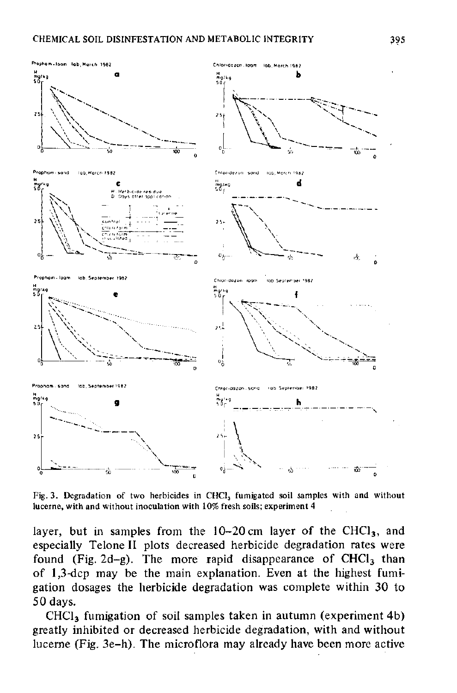

Fig. 3. Degradation of two herbicides in CHCl<sub>3</sub> fumigated soil samples with and without lucerne, with and without inoculation with 10% fresh soils; experiment 4

layer, but in samples from the  $10-20$  cm layer of the CHCl<sub>3</sub>, and especially Telone II plots decreased herbicide degradation rates were found (Fig. 2d-g). The more rapid disappearance of  $CHCl<sub>3</sub>$  than of 1,3-dcp may be the main explanation. Even at the highest fumigation dosages the herbicide degradation was complete within 30 to 50 days.

 $CHCl<sub>3</sub>$  fumigation of soil samples taken in autumn (experiment 4b) greatly inhibited or decreased herbicide degradation, with and without lucerne (Fig. 3e-h). The microflora may already have been more active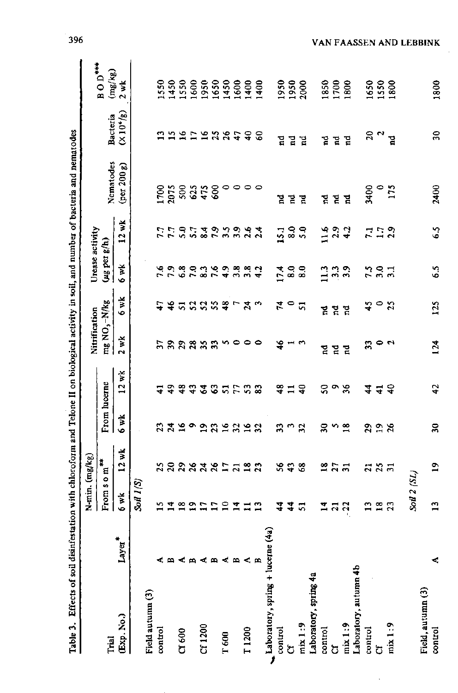|                                    |                |                              | N-min. (mg/kg)   |                            |                | Nitrification             |                            | Urease activity          |                  |                               |                |                             |
|------------------------------------|----------------|------------------------------|------------------|----------------------------|----------------|---------------------------|----------------------------|--------------------------|------------------|-------------------------------|----------------|-----------------------------|
| Trial                              |                | From $s$ o $m$ <sup>**</sup> |                  | From lucerne               |                | mg NO <sub>3</sub> -N/kg  |                            | (ug per g/h)             |                  | Nematodes                     | Bacteria       | <b>BOD***</b><br>(mg/kg)    |
| (Exp. No.)                         | Layer*         | 6 wk                         | $12$ wk          | $6$ wk                     | $12$ wk        | 2 wK                      | 6 wk                       | é wk                     | 12 wk            | $(\text{per } 200 \text{ g})$ | $(X10^6/g)$    | $2$ wk                      |
|                                    |                | $S$ oil $I(S)$               |                  |                            |                |                           |                            |                          |                  |                               |                |                             |
| Field autumn (3)                   |                |                              |                  |                            |                |                           |                            |                          |                  |                               |                |                             |
| control                            |                |                              |                  | 23                         | $\overline{4}$ |                           | 47                         |                          |                  |                               | ្ន             | 1550                        |
|                                    | œ,             |                              |                  |                            | $\frac{5}{4}$  |                           |                            |                          | 7 7<br>7 7       |                               |                | 1450                        |
| C1600                              | ≺              |                              |                  |                            | 48             |                           |                            |                          |                  |                               |                | 1550                        |
|                                    | 戶              | 11211                        | <b>aaaaanaaa</b> | 3202                       | $\ddot{ }$     | <b>ឯ</b> ក្តុងនិងដឹង ២០០០ | \$2323                     | ているいこんりょうこと<br>こうとりこうじょう | 5.7              | 1788847                       | おおけにおおむ        | 1600                        |
| Cf 1200                            | 4              |                              |                  |                            | $\mathfrak{F}$ |                           |                            |                          |                  |                               |                | 1950                        |
|                                    | m              | $\overline{a}$               |                  | 35353                      | 37522          |                           |                            |                          | ねいこのふな           | 600                           |                | <b>1959</b><br>1960<br>1961 |
| T 600                              | 4              | $\overline{10}$              |                  |                            |                |                           | $\frac{8}{4}$              |                          |                  |                               |                |                             |
|                                    | $\blacksquare$ |                              |                  |                            |                |                           |                            |                          |                  |                               |                |                             |
| T <sub>1200</sub>                  | $\leq$ $\geq$  | $\Xi \equiv \Xi$             |                  |                            |                |                           | ົ $7\frac{3}{10}$          |                          |                  | 0000                          | $\frac{6}{4}$  |                             |
|                                    |                |                              |                  |                            |                |                           |                            |                          |                  |                               | $\delta$       | 1400                        |
| Laboratory, spring + lucer         | ne (4a)        |                              |                  |                            |                |                           |                            |                          |                  |                               |                |                             |
| control                            |                | 4                            | 26               | 33                         | ≆              | $\frac{6}{1}$             | 74                         | 17.4                     | 15.1             | Ä,                            | 뎝              | 1950                        |
| ර්                                 |                | $\frac{4}{4}$                | 43               | w                          | $\Xi$ $\Xi$    |                           | $\bullet$                  | $\mathbf{8.0}$           | 8.0              | $\mathbf{r}$                  | 뎥              | 1950                        |
| min 1:9                            |                | 57                           | $\frac{8}{5}$    | 32                         |                | m                         | 5                          | $\frac{8}{6}$            | 5.0              | 뎥                             | Ĕ              | 2000                        |
| Laboratory, spring 4a              |                |                              |                  |                            |                |                           |                            |                          |                  |                               |                |                             |
| control                            |                | $\mathbf{1}$                 | $\overline{18}$  | Z                          | ន              | ឪ                         | 뎥                          | $\frac{3}{2}$            | 116              | ម្ព                           | 겉              | 1850                        |
| ර්                                 |                | $\overline{a}$               | $\frac{27}{21}$  | $\frac{5}{18}$             | $\frac{9}{26}$ | $\mathbf{r}$              | $\vec{n}$                  | 3.3                      |                  |                               | 겉              | 1700                        |
| mix1:9                             |                | $-22$                        |                  |                            |                | 겉                         | $\vec{a}$                  |                          | 2.3              | 겉 걸                           | $\mathbb{R}$   | 1800                        |
| Laboratory, autumn 4b              |                |                              |                  |                            |                |                           |                            |                          |                  |                               |                |                             |
| control                            |                | $\overline{13}$              | $\overline{a}$   | $\mathbf{r}$               | 4              | $\overline{\mathbf{3}}$   | $\frac{1}{2}$              |                          |                  | 3400                          | $\approx$      | 1650                        |
| ð                                  |                | $\frac{8}{16}$               | $3\overline{1}$  | $\frac{9}{26}$             | $\overline{4}$ | $\bullet$ a               | $\circ$                    | 7.9                      | $7.79$<br>$2.29$ | $\circ$                       | $\mathfrak{a}$ | 1550                        |
| max 1:9                            |                | 23                           |                  |                            | $\epsilon$     |                           | $\boldsymbol{\mathcal{Z}}$ | $\overline{31}$          |                  | 175                           | $\mathbf{r}$   | 1800                        |
|                                    |                |                              |                  |                            |                |                           |                            |                          |                  |                               |                |                             |
|                                    |                | Soil 2 (SL)                  |                  |                            |                |                           |                            |                          |                  |                               |                |                             |
| Field, autumn (3)<br>$\frac{1}{2}$ | ×,             | $\overline{13}$              | 19               | $\boldsymbol{\mathcal{S}}$ | 42             | 124                       | 125                        | 65                       | $\frac{5}{6}$    | 2400                          | $\frac{1}{2}$  | 1800                        |
|                                    |                |                              |                  |                            |                |                           |                            |                          |                  |                               |                |                             |

396

VAN FAASSEN AND LEBBINK

 $\ddot{\phantom{a}}$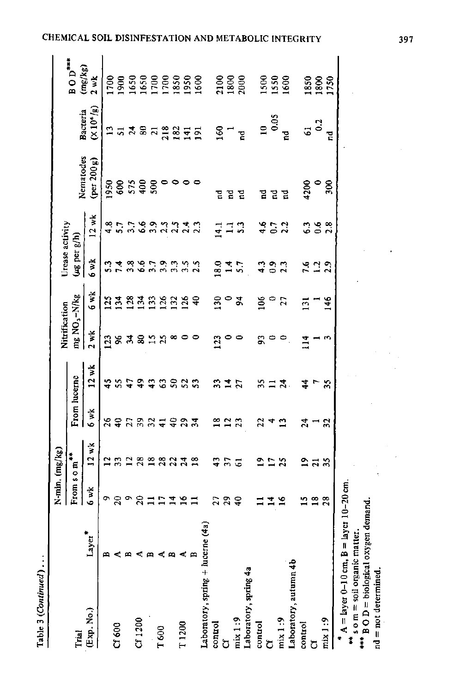| ξ |
|---|
|   |
|   |

|                                                                                                                               |             | N-min. (mg/kg)          |                         |                  |                    | Nitrification            |                | Urease activity            |                                              |                               |                      |                                              |
|-------------------------------------------------------------------------------------------------------------------------------|-------------|-------------------------|-------------------------|------------------|--------------------|--------------------------|----------------|----------------------------|----------------------------------------------|-------------------------------|----------------------|----------------------------------------------|
| Trial                                                                                                                         |             | From som <sup>***</sup> |                         | From lucerne     |                    | mg NO <sub>3</sub> -N/kg |                | (ug per g/h)               |                                              | Nematodes                     | Bacteria             | $BOD$ <sup>***</sup>                         |
| (Exp. No.)                                                                                                                    | $*$ gr<br>À | 6 wk                    | 12 wk                   | 6 wk             | $12$ wk            | $2$ wk                   | 6 wk           | 6 w.k                      | 12 wk                                        | $(\text{per } 200 \text{ g})$ | (20 <sup>6</sup> /g) | (mg/kg)<br>2 wk                              |
|                                                                                                                               |             | ö                       | ≃                       |                  | 45                 | 123                      | $\mathbf{5}$   | ះ                          |                                              | 1950                          |                      | 001                                          |
| Cf 600                                                                                                                        |             | $\overline{20}$         |                         |                  | 55                 | S,                       | $\mathbf{34}$  |                            | $\frac{8}{5}$ .7                             |                               | $\frac{2}{51}$       |                                              |
|                                                                                                                               |             | $\bullet$               |                         |                  |                    | द्भ                      | $^{128}$       |                            |                                              |                               | $\boldsymbol{z}$     |                                              |
| CT1200                                                                                                                        | c           | $\approx$ $\approx$     | 3282                    | <b>AQAANTQAA</b> | \$\$\$\$\$\$       | 8                        | $\mathbb{E}$   | 7.99<br>7.99               | 3.58                                         | 8.58                          | $\mathbf{3}$         | 1900<br>1650<br>1700<br>1700<br>1850<br>1891 |
|                                                                                                                               |             |                         |                         |                  |                    |                          | $\tilde{c}$    |                            |                                              | 500                           |                      |                                              |
| T 600                                                                                                                         | ≺ ⇔         | $\overline{1}$          | 3232                    |                  |                    | <b>ST</b><br>ST          | $\frac{3}{2}$  | به نبات بنا<br>زمانیات بنا | 3.3<br>2.3                                   |                               | <b>n 225</b>         |                                              |
|                                                                                                                               |             | $\vec{=}$               |                         |                  |                    | ∞                        | $\overline{2}$ |                            |                                              |                               |                      |                                              |
| T <sub>1200</sub>                                                                                                             |             | $\overline{16}$         |                         |                  |                    | 0                        | <b>126</b>     |                            | 23.3                                         |                               |                      |                                              |
|                                                                                                                               |             | $\Xi$                   |                         |                  |                    | 0                        | ទ              | 2.5                        |                                              |                               | $\overline{5}$       |                                              |
| Laboratory, spring + lucern                                                                                                   | ie(4a)      |                         |                         |                  |                    |                          |                |                            |                                              |                               |                      |                                              |
| control                                                                                                                       |             | 27                      | 43                      | ≌                | 33                 | 123                      | និ             | 8.0                        |                                              | 묨                             | 581                  |                                              |
| ð                                                                                                                             |             | $\mathbf{c}$            | $\overline{\mathbf{r}}$ | $\frac{2}{3}$    |                    | $\circ$                  | $\circ$        |                            | $\begin{array}{c} 11 \\ 41 \\ 3 \end{array}$ | មួ                            |                      | 2100<br>1800<br>2000                         |
| mix 1:9                                                                                                                       |             | $\frac{9}{4}$           | ತ                       |                  | $\frac{4}{2}$      | $\circ$                  | 2              | 7.7                        |                                              | 겉                             | $\overline{a}$       |                                              |
| Laboratory, spring 4a                                                                                                         |             |                         |                         |                  |                    |                          |                |                            |                                              |                               |                      |                                              |
| control                                                                                                                       |             |                         | ≘                       | 22               | 35                 | g                        | క              | ្នុ                        |                                              | 묨                             | $\overline{a}$       |                                              |
| J                                                                                                                             |             | $\vec{r}$               |                         |                  | $\Xi \overline{a}$ | $\circ$                  | P              |                            | 452                                          |                               | 0.05                 | 1550<br>1550<br>1600                         |
| mix1:9                                                                                                                        |             | $\frac{6}{16}$          | $\frac{2}{3}$           | $\frac{3}{1}$    |                    |                          | 27             | <b>9.3</b><br>2.3          |                                              | 곧 걸                           | 겉                    |                                              |
| Laboratory, autumn 4b                                                                                                         |             |                         |                         |                  |                    |                          |                |                            |                                              |                               |                      |                                              |
| control                                                                                                                       |             | $\mathbf{r}$            |                         | $\boldsymbol{z}$ | $\frac{4}{3}$      | 114                      | ៊              |                            | ွ                                            | 4200                          | 5                    |                                              |
| ರ                                                                                                                             |             | $\frac{8}{1}$           | 273                     |                  |                    |                          |                | 523<br>523                 | $\frac{6}{2}$                                | $\bullet$                     | $\ddot{\phantom{0}}$ |                                              |
| $\min_{1}$                                                                                                                    |             | 28                      |                         | 32               | 35                 | S                        | 146            |                            | $\frac{8}{1}$                                | 500                           | Ĕ                    | 1850<br>1750                                 |
| A = $\ln y$ er 0-10 cm, B = $\ln y$ er 10-20 cm,<br>** s o m = soil organic matter.<br>**** B O D = biological oxygen demand. |             |                         |                         |                  |                    |                          |                |                            |                                              |                               |                      |                                              |
|                                                                                                                               |             |                         |                         |                  |                    |                          |                |                            |                                              |                               |                      |                                              |

 $\ddot{\phantom{1}}$ 

 $\hat{\boldsymbol{\beta}}$ 

 $\frac{1}{3}$ 

 $nd = not determined$ .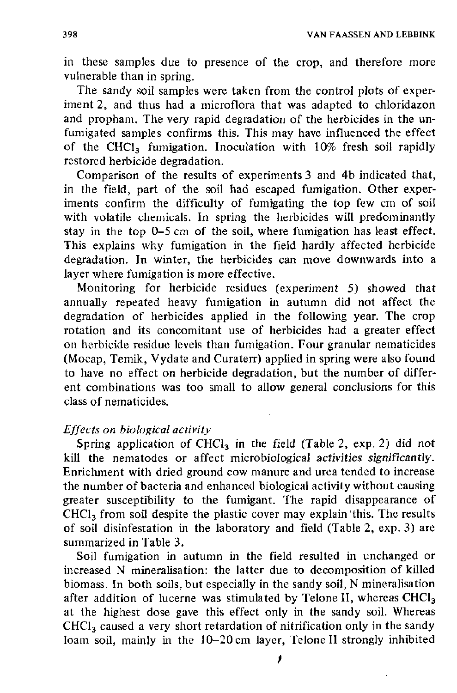in these samples due to presence of the crop, and therefore more vulnerable than in spring.

The sandy soil samples were taken from the control plots of experiment 2, and thus had a microflora that was adapted to chloridazon and propham. The very rapid degradation of the herbicides in the unfumigated samples confirms this. This may have influenced the effect of the CHCl<sub>3</sub> fumigation. Inoculation with 10% fresh soil rapidly restored herbicide degradation.

Comparison of the results of experiments 3 and 4b indicated that, in the field, part of the soil had escaped fumigation. Other experiments confirm the difficulty of fumigating the top few cm of soil with volatile chemicals. In spring the herbicides will predominantly stay in the top 0-5 cm of the soil, where fumigation has least effect. This explains why fumigation in the field hardly affected herbicide degradation. In winter, the herbicides can move downwards into a layer where fumigation is more effective.

Monitoring for herbicide residues (experiment 5) showed that annually repeated heavy fumigation in autumn did not affect the degradation of herbicides applied in the following year. The crop rotation and its concomitant use of herbicides had a greater effect on herbicide residue levels than fumigation. Four granular nematicides (Mocap, Temik, Vydate and Curaterr) applied in spring were also found to have no effect on herbicide degradation, but the number of different combinations was too small to allow general conclusions for this class of nematicides.

# *Effects on biological activity*

Spring application of CHCl<sub>3</sub> in the field (Table 2, exp. 2) did not kill the nematodes or affect microbiological *activities significantly.*  Enrichment with dried ground cow manure and urea tended to increase the number of bacteria and enhanced biological activity without causing greater susceptibility to the fumigant. The rapid disappearance of CHCl<sub>3</sub> from soil despite the plastic cover may explain this. The results of soil disinfestation in the laboratory and field (Table 2, exp. 3) are summarized in Table 3.

Soil fumigation in autumn in the field resulted in unchanged or increased N mineralisation: the latter due to decomposition of killed biomass. In both soils, but especially in the sandy soil, N mineralisation after addition of lucerne was stimulated by Telone II, whereas CHCl<sub>3</sub> at the highest dose gave this effect only in the sandy soil. Whereas  $CHCl<sub>3</sub>$  caused a very short retardation of nitrification only in the sandy loam soil, mainly in the 10-20 cm layer, Telone II strongly inhibited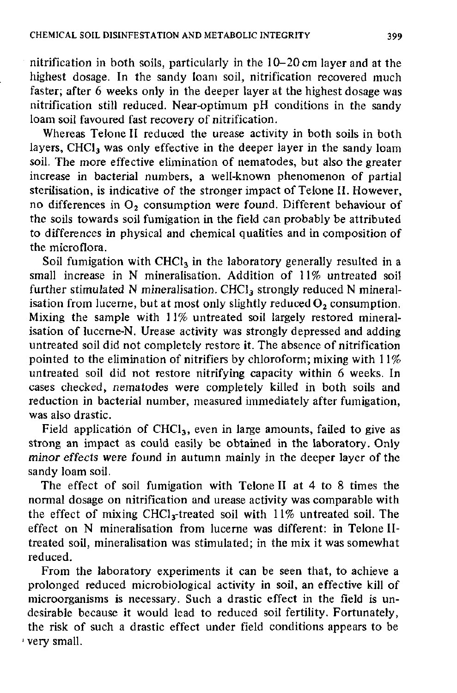nitrification in both soils, particularly in the 10-20 cm layer and at the highest dosage. In the sandy loam soil, nitrification recovered much faster; after 6 weeks only in the deeper layer at the highest dosage was nitrification still reduced. Near-optimum pH conditions in the sandy loam soil favoured fast recovery of nitrification.

Whereas Telone II reduced the urease activity in both soils in both layers, CHCl<sub>3</sub> was only effective in the deeper layer in the sandy loam soil. The more effective elimination of nematodes, but also the greater increase in bacterial numbers, a well-known phenomenon of partial sterilisation, is indicative of the stronger impact of Telone II. However, no differences in  $O_2$  consumption were found. Different behaviour of the soils towards soil fumigation in the field can probably be attributed to differences in physical and chemical qualities and in composition of the microflora.

Soil fumigation with CHCl<sub>3</sub> in the laboratory generally resulted in a small increase in N mineralisation. Addition of 11% untreated soil further stimulated N mineralisation. CHCl<sub>3</sub> strongly reduced N mineralisation from lucerne, but at most only slightly reduced  $O_2$  consumption. Mixing the sample with 11% untreated soil largely restored mineralisation of lucerne-N. Urease activity was strongly depressed and adding untreated soil did not completely restore it. The absence of nitrification pointed to the elimination of nitrifiers by chloroform; mixing with 11% untreated soil did not restore nitrifying capacity within 6 weeks. In cases checked, nematodes were completely killed in both soils and reduction in bacterial number, measured immediately after fumigation, was also drastic.

Field application of  $CHCl<sub>3</sub>$ , even in large amounts, failed to give as strong an impact as could easily be obtained in the laboratory. Only *minor effects* were found in autumn mainly in the deeper layer of the sandy loam soil.

The effect of soil fumigation with Telone II at 4 to 8 times the normal dosage on nitrification and urease activity was comparable with the effect of mixing CHCl<sub>3</sub>-treated soil with 11% untreated soil. The effect on N mineralisation from lucerne was different: in Telone IItreated soil, mineralisation was stimulated; in the mix it was somewhat reduced.

From the laboratory experiments it can be seen that, to achieve a prolonged reduced microbiological activity in soil, an effective kill of microorganisms is necessary. Such a drastic effect in the field is undesirable because it would lead to reduced soil fertility. Fortunately, the risk of such a drastic effect under field conditions appears to be very small.